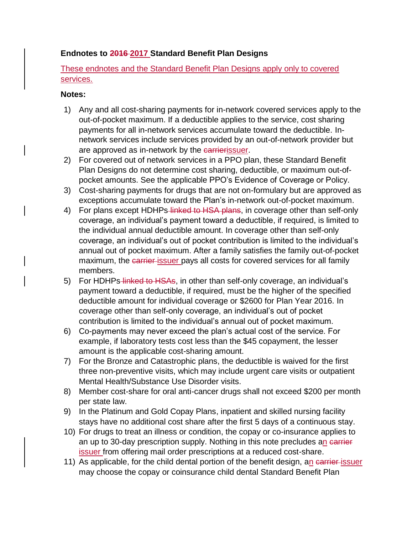## **Endnotes to 2016 2017 Standard Benefit Plan Designs**

These endnotes and the Standard Benefit Plan Designs apply only to covered services.

## **Notes:**

- 1) Any and all cost-sharing payments for in-network covered services apply to the out-of-pocket maximum. If a deductible applies to the service, cost sharing payments for all in-network services accumulate toward the deductible. Innetwork services include services provided by an out-of-network provider but are approved as in-network by the carrierissuer.
- 2) For covered out of network services in a PPO plan, these Standard Benefit Plan Designs do not determine cost sharing, deductible, or maximum out-ofpocket amounts. See the applicable PPO's Evidence of Coverage or Policy.
- 3) Cost-sharing payments for drugs that are not on-formulary but are approved as exceptions accumulate toward the Plan's in-network out-of-pocket maximum.
- 4) For plans except HDHPs-linked to HSA plans, in coverage other than self-only coverage, an individual's payment toward a deductible, if required, is limited to the individual annual deductible amount. In coverage other than self-only coverage, an individual's out of pocket contribution is limited to the individual's annual out of pocket maximum. After a family satisfies the family out-of-pocket maximum, the earrier-issuer pays all costs for covered services for all family members.
- 5) For HDHPs-linked to HSAs, in other than self-only coverage, an individual's payment toward a deductible, if required, must be the higher of the specified deductible amount for individual coverage or \$2600 for Plan Year 2016. In coverage other than self-only coverage, an individual's out of pocket contribution is limited to the individual's annual out of pocket maximum.
- 6) Co-payments may never exceed the plan's actual cost of the service. For example, if laboratory tests cost less than the \$45 copayment, the lesser amount is the applicable cost-sharing amount.
- 7) For the Bronze and Catastrophic plans, the deductible is waived for the first three non-preventive visits, which may include urgent care visits or outpatient Mental Health/Substance Use Disorder visits.
- 8) Member cost-share for oral anti-cancer drugs shall not exceed \$200 per month per state law.
- 9) In the Platinum and Gold Copay Plans, inpatient and skilled nursing facility stays have no additional cost share after the first 5 days of a continuous stay.
- 10) For drugs to treat an illness or condition, the copay or co-insurance applies to an up to 30-day prescription supply. Nothing in this note precludes an carrier issuer from offering mail order prescriptions at a reduced cost-share.
- 11) As applicable, for the child dental portion of the benefit design, an earrier issuer may choose the copay or coinsurance child dental Standard Benefit Plan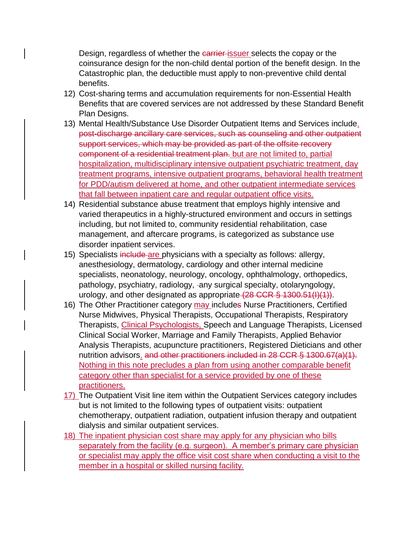Design, regardless of whether the carrier issuer selects the copay or the coinsurance design for the non-child dental portion of the benefit design. In the Catastrophic plan, the deductible must apply to non-preventive child dental benefits.

- 12) Cost-sharing terms and accumulation requirements for non-Essential Health Benefits that are covered services are not addressed by these Standard Benefit Plan Designs.
- 13) Mental Health/Substance Use Disorder Outpatient Items and Services include, post-discharge ancillary care services, such as counseling and other outpatient support services, which may be provided as part of the offsite recovery component of a residential treatment plan. but are not limited to, partial hospitalization, multidisciplinary intensive outpatient psychiatric treatment, day treatment programs, intensive outpatient programs, behavioral health treatment for PDD/autism delivered at home, and other outpatient intermediate services that fall between inpatient care and regular outpatient office visits.
- 14) Residential substance abuse treatment that employs highly intensive and varied therapeutics in a highly-structured environment and occurs in settings including, but not limited to, community residential rehabilitation, case management, and aftercare programs, is categorized as substance use disorder inpatient services.
- 15) Specialists include are physicians with a specialty as follows: allergy, anesthesiology, dermatology, cardiology and other internal medicine specialists, neonatology, neurology, oncology, ophthalmology, orthopedics, pathology, psychiatry, radiology, -any surgical specialty, otolaryngology, urology, and other designated as appropriate (28 CCR § 1300.51(I)(1)).
- 16) The Other Practitioner category may includes Nurse Practitioners, Certified Nurse Midwives, Physical Therapists, Occupational Therapists, Respiratory Therapists, Clinical Psychologists, Speech and Language Therapists, Licensed Clinical Social Worker, Marriage and Family Therapists, Applied Behavior Analysis Therapists, acupuncture practitioners, Registered Dieticians and other nutrition advisors. and other practitioners included in 28 CCR § 1300.67(a)(1). Nothing in this note precludes a plan from using another comparable benefit category other than specialist for a service provided by one of these practitioners.
- 17) The Outpatient Visit line item within the Outpatient Services category includes but is not limited to the following types of outpatient visits: outpatient chemotherapy, outpatient radiation, outpatient infusion therapy and outpatient dialysis and similar outpatient services.
- 18) The inpatient physician cost share may apply for any physician who bills separately from the facility (e.g. surgeon). A member's primary care physician or specialist may apply the office visit cost share when conducting a visit to the member in a hospital or skilled nursing facility.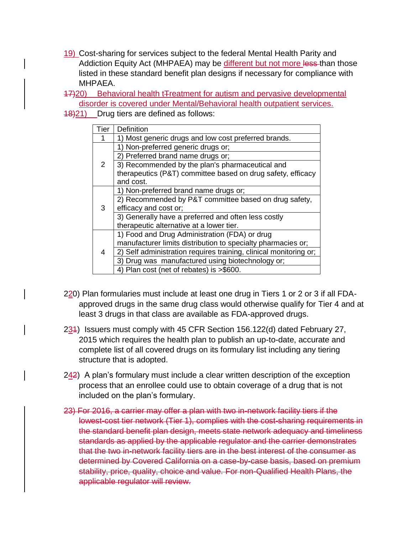- 19) Cost-sharing for services subject to the federal Mental Health Parity and Addiction Equity Act (MHPAEA) may be different but not more less than those listed in these standard benefit plan designs if necessary for compliance with MHPAEA.
- 17)20) Behavioral health tTreatment for autism and pervasive developmental disorder is covered under Mental/Behavioral health outpatient services.
- 18)21) Drug tiers are defined as follows:

| Tier | <b>Definition</b>                                                 |
|------|-------------------------------------------------------------------|
|      | 1) Most generic drugs and low cost preferred brands.              |
| 2    | 1) Non-preferred generic drugs or;                                |
|      | 2) Preferred brand name drugs or;                                 |
|      | 3) Recommended by the plan's pharmaceutical and                   |
|      | therapeutics (P&T) committee based on drug safety, efficacy       |
|      | and cost.                                                         |
| 3    | 1) Non-preferred brand name drugs or;                             |
|      | 2) Recommended by P&T committee based on drug safety,             |
|      | efficacy and cost or;                                             |
|      | 3) Generally have a preferred and often less costly               |
|      | therapeutic alternative at a lower tier.                          |
| 4    | 1) Food and Drug Administration (FDA) or drug                     |
|      | manufacturer limits distribution to specialty pharmacies or;      |
|      | 2) Self administration requires training, clinical monitoring or; |
|      | 3) Drug was manufactured using biotechnology or;                  |
|      | 4) Plan cost (net of rebates) is >\$600.                          |

- 220) Plan formularies must include at least one drug in Tiers 1 or 2 or 3 if all FDAapproved drugs in the same drug class would otherwise qualify for Tier 4 and at least 3 drugs in that class are available as FDA-approved drugs.
- 234) Issuers must comply with 45 CFR Section 156.122(d) dated February 27, 2015 which requires the health plan to publish an up-to-date, accurate and complete list of all covered drugs on its formulary list including any tiering structure that is adopted.
- $242$ ) A plan's formulary must include a clear written description of the exception process that an enrollee could use to obtain coverage of a drug that is not included on the plan's formulary.
- 23) For 2016, a carrier may offer a plan with two in-network facility tiers if the lowest-cost tier network (Tier 1), complies with the cost-sharing requirements in the standard benefit plan design, meets state network adequacy and timeliness standards as applied by the applicable regulator and the carrier demonstrates that the two in-network facility tiers are in the best interest of the consumer as determined by Covered California on a case-by-case basis, based on premium stability, price, quality, choice and value. For non-Qualified Health Plans, the applicable regulator will review.